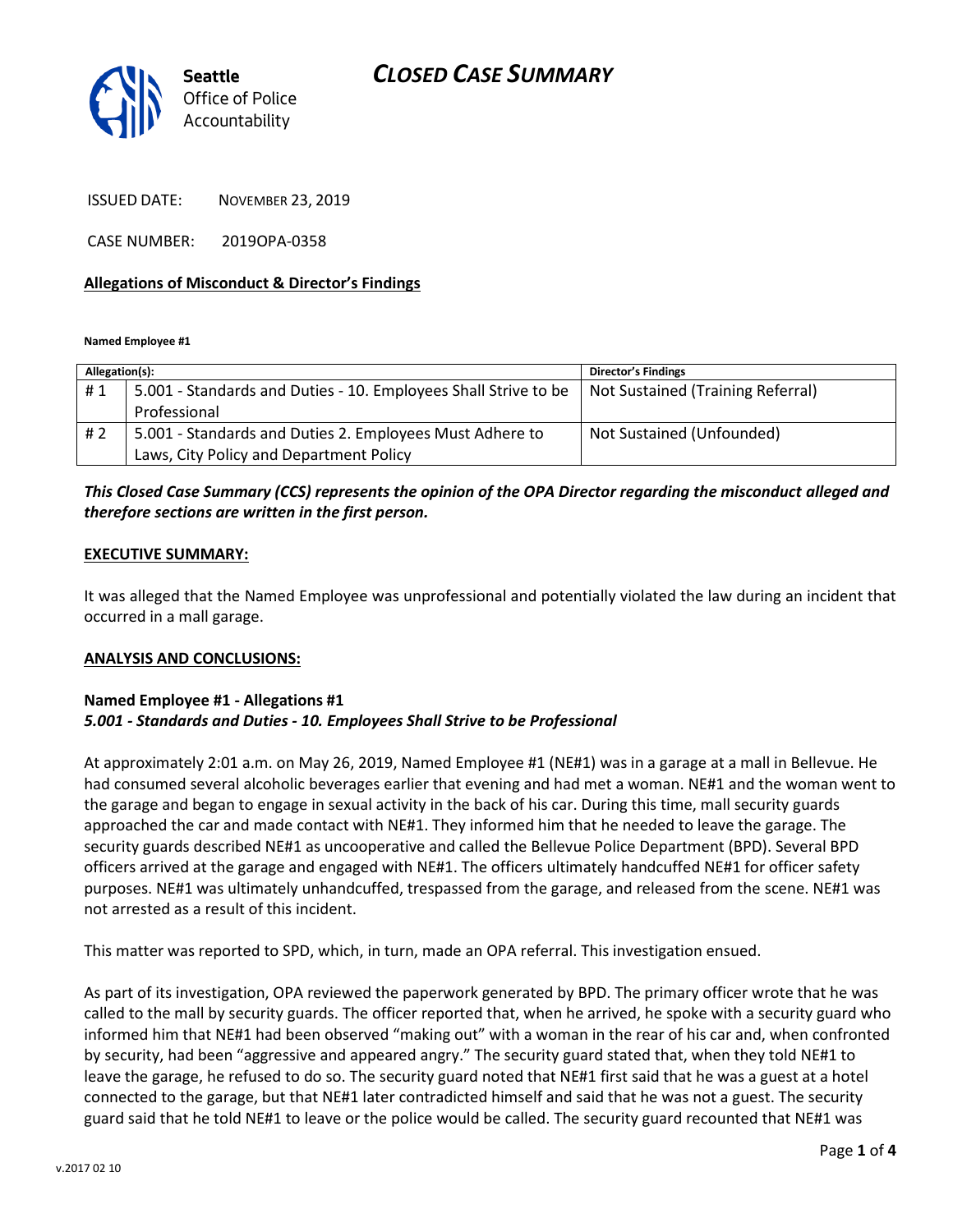### *CLOSED CASE SUMMARY*



ISSUED DATE: NOVEMBER 23, 2019

CASE NUMBER: 2019OPA-0358

### **Allegations of Misconduct & Director's Findings**

**Named Employee #1**

| Allegation(s): |                                                                 | <b>Director's Findings</b>        |
|----------------|-----------------------------------------------------------------|-----------------------------------|
| #1             | 5.001 - Standards and Duties - 10. Employees Shall Strive to be | Not Sustained (Training Referral) |
|                | Professional                                                    |                                   |
| #2             | 5.001 - Standards and Duties 2. Employees Must Adhere to        | Not Sustained (Unfounded)         |
|                | Laws, City Policy and Department Policy                         |                                   |

### *This Closed Case Summary (CCS) represents the opinion of the OPA Director regarding the misconduct alleged and therefore sections are written in the first person.*

#### **EXECUTIVE SUMMARY:**

It was alleged that the Named Employee was unprofessional and potentially violated the law during an incident that occurred in a mall garage.

#### **ANALYSIS AND CONCLUSIONS:**

#### **Named Employee #1 - Allegations #1** *5.001 - Standards and Duties - 10. Employees Shall Strive to be Professional*

At approximately 2:01 a.m. on May 26, 2019, Named Employee #1 (NE#1) was in a garage at a mall in Bellevue. He had consumed several alcoholic beverages earlier that evening and had met a woman. NE#1 and the woman went to the garage and began to engage in sexual activity in the back of his car. During this time, mall security guards approached the car and made contact with NE#1. They informed him that he needed to leave the garage. The security guards described NE#1 as uncooperative and called the Bellevue Police Department (BPD). Several BPD officers arrived at the garage and engaged with NE#1. The officers ultimately handcuffed NE#1 for officer safety purposes. NE#1 was ultimately unhandcuffed, trespassed from the garage, and released from the scene. NE#1 was not arrested as a result of this incident.

This matter was reported to SPD, which, in turn, made an OPA referral. This investigation ensued.

As part of its investigation, OPA reviewed the paperwork generated by BPD. The primary officer wrote that he was called to the mall by security guards. The officer reported that, when he arrived, he spoke with a security guard who informed him that NE#1 had been observed "making out" with a woman in the rear of his car and, when confronted by security, had been "aggressive and appeared angry." The security guard stated that, when they told NE#1 to leave the garage, he refused to do so. The security guard noted that NE#1 first said that he was a guest at a hotel connected to the garage, but that NE#1 later contradicted himself and said that he was not a guest. The security guard said that he told NE#1 to leave or the police would be called. The security guard recounted that NE#1 was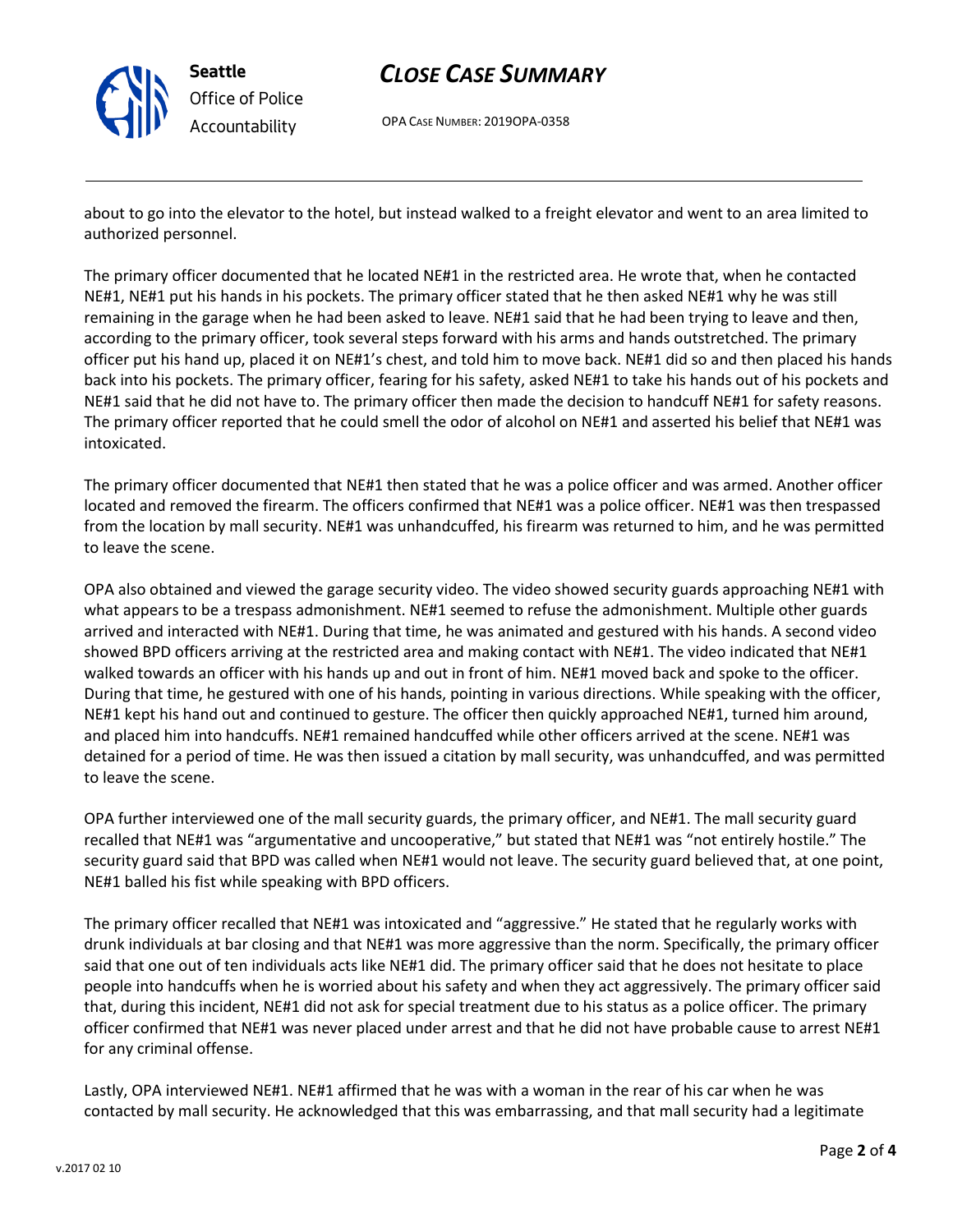

## *CLOSE CASE SUMMARY*

OPA CASE NUMBER: 2019OPA-0358

about to go into the elevator to the hotel, but instead walked to a freight elevator and went to an area limited to authorized personnel.

The primary officer documented that he located NE#1 in the restricted area. He wrote that, when he contacted NE#1, NE#1 put his hands in his pockets. The primary officer stated that he then asked NE#1 why he was still remaining in the garage when he had been asked to leave. NE#1 said that he had been trying to leave and then, according to the primary officer, took several steps forward with his arms and hands outstretched. The primary officer put his hand up, placed it on NE#1's chest, and told him to move back. NE#1 did so and then placed his hands back into his pockets. The primary officer, fearing for his safety, asked NE#1 to take his hands out of his pockets and NE#1 said that he did not have to. The primary officer then made the decision to handcuff NE#1 for safety reasons. The primary officer reported that he could smell the odor of alcohol on NE#1 and asserted his belief that NE#1 was intoxicated.

The primary officer documented that NE#1 then stated that he was a police officer and was armed. Another officer located and removed the firearm. The officers confirmed that NE#1 was a police officer. NE#1 was then trespassed from the location by mall security. NE#1 was unhandcuffed, his firearm was returned to him, and he was permitted to leave the scene.

OPA also obtained and viewed the garage security video. The video showed security guards approaching NE#1 with what appears to be a trespass admonishment. NE#1 seemed to refuse the admonishment. Multiple other guards arrived and interacted with NE#1. During that time, he was animated and gestured with his hands. A second video showed BPD officers arriving at the restricted area and making contact with NE#1. The video indicated that NE#1 walked towards an officer with his hands up and out in front of him. NE#1 moved back and spoke to the officer. During that time, he gestured with one of his hands, pointing in various directions. While speaking with the officer, NE#1 kept his hand out and continued to gesture. The officer then quickly approached NE#1, turned him around, and placed him into handcuffs. NE#1 remained handcuffed while other officers arrived at the scene. NE#1 was detained for a period of time. He was then issued a citation by mall security, was unhandcuffed, and was permitted to leave the scene.

OPA further interviewed one of the mall security guards, the primary officer, and NE#1. The mall security guard recalled that NE#1 was "argumentative and uncooperative," but stated that NE#1 was "not entirely hostile." The security guard said that BPD was called when NE#1 would not leave. The security guard believed that, at one point, NE#1 balled his fist while speaking with BPD officers.

The primary officer recalled that NE#1 was intoxicated and "aggressive." He stated that he regularly works with drunk individuals at bar closing and that NE#1 was more aggressive than the norm. Specifically, the primary officer said that one out of ten individuals acts like NE#1 did. The primary officer said that he does not hesitate to place people into handcuffs when he is worried about his safety and when they act aggressively. The primary officer said that, during this incident, NE#1 did not ask for special treatment due to his status as a police officer. The primary officer confirmed that NE#1 was never placed under arrest and that he did not have probable cause to arrest NE#1 for any criminal offense.

Lastly, OPA interviewed NE#1. NE#1 affirmed that he was with a woman in the rear of his car when he was contacted by mall security. He acknowledged that this was embarrassing, and that mall security had a legitimate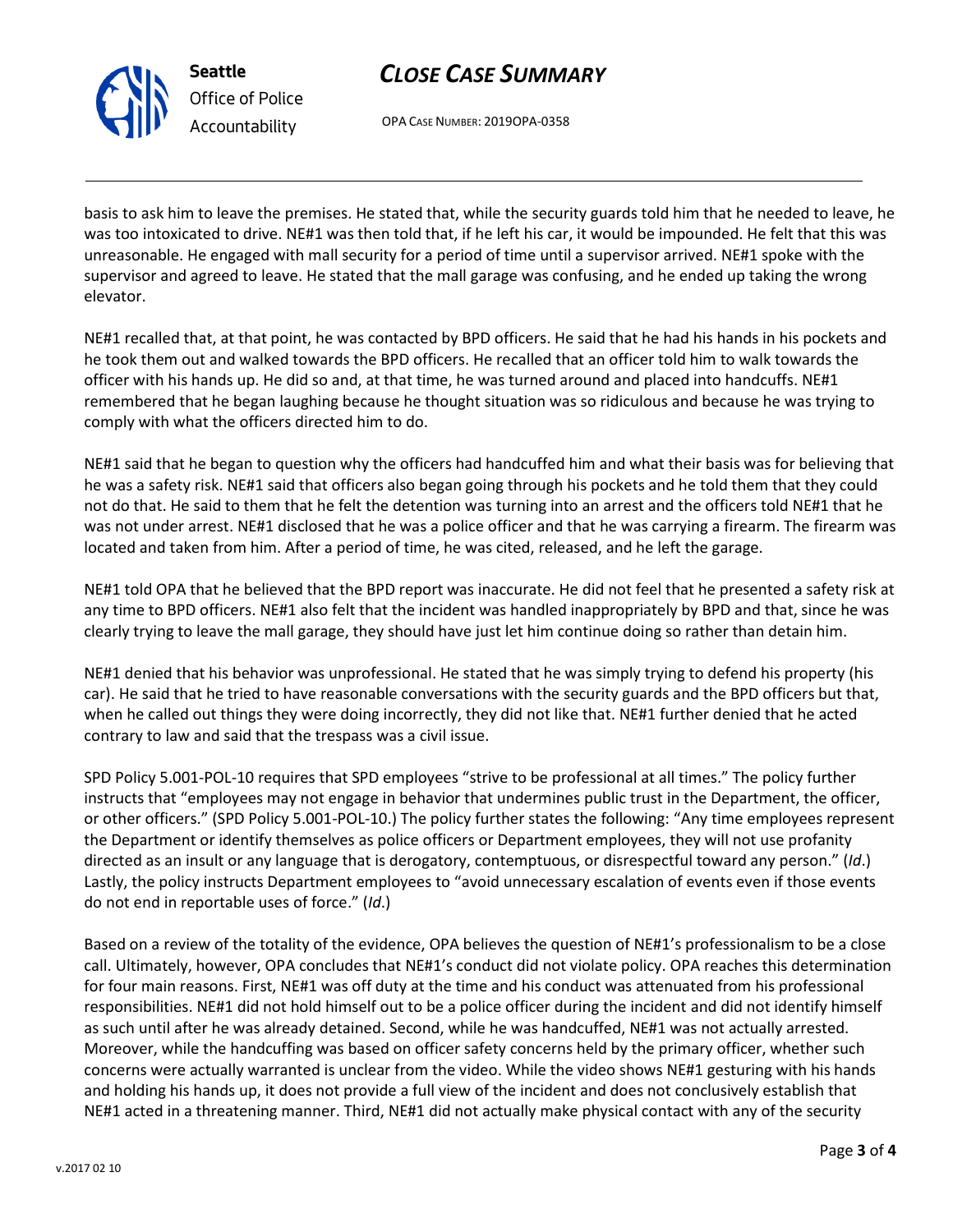

**Seattle** *Office of Police Accountability*

# *CLOSE CASE SUMMARY*

OPA CASE NUMBER: 2019OPA-0358

basis to ask him to leave the premises. He stated that, while the security guards told him that he needed to leave, he was too intoxicated to drive. NE#1 was then told that, if he left his car, it would be impounded. He felt that this was unreasonable. He engaged with mall security for a period of time until a supervisor arrived. NE#1 spoke with the supervisor and agreed to leave. He stated that the mall garage was confusing, and he ended up taking the wrong elevator.

NE#1 recalled that, at that point, he was contacted by BPD officers. He said that he had his hands in his pockets and he took them out and walked towards the BPD officers. He recalled that an officer told him to walk towards the officer with his hands up. He did so and, at that time, he was turned around and placed into handcuffs. NE#1 remembered that he began laughing because he thought situation was so ridiculous and because he was trying to comply with what the officers directed him to do.

NE#1 said that he began to question why the officers had handcuffed him and what their basis was for believing that he was a safety risk. NE#1 said that officers also began going through his pockets and he told them that they could not do that. He said to them that he felt the detention was turning into an arrest and the officers told NE#1 that he was not under arrest. NE#1 disclosed that he was a police officer and that he was carrying a firearm. The firearm was located and taken from him. After a period of time, he was cited, released, and he left the garage.

NE#1 told OPA that he believed that the BPD report was inaccurate. He did not feel that he presented a safety risk at any time to BPD officers. NE#1 also felt that the incident was handled inappropriately by BPD and that, since he was clearly trying to leave the mall garage, they should have just let him continue doing so rather than detain him.

NE#1 denied that his behavior was unprofessional. He stated that he was simply trying to defend his property (his car). He said that he tried to have reasonable conversations with the security guards and the BPD officers but that, when he called out things they were doing incorrectly, they did not like that. NE#1 further denied that he acted contrary to law and said that the trespass was a civil issue.

SPD Policy 5.001-POL-10 requires that SPD employees "strive to be professional at all times." The policy further instructs that "employees may not engage in behavior that undermines public trust in the Department, the officer, or other officers." (SPD Policy 5.001-POL-10.) The policy further states the following: "Any time employees represent the Department or identify themselves as police officers or Department employees, they will not use profanity directed as an insult or any language that is derogatory, contemptuous, or disrespectful toward any person." (*Id*.) Lastly, the policy instructs Department employees to "avoid unnecessary escalation of events even if those events do not end in reportable uses of force." (*Id*.)

Based on a review of the totality of the evidence, OPA believes the question of NE#1's professionalism to be a close call. Ultimately, however, OPA concludes that NE#1's conduct did not violate policy. OPA reaches this determination for four main reasons. First, NE#1 was off duty at the time and his conduct was attenuated from his professional responsibilities. NE#1 did not hold himself out to be a police officer during the incident and did not identify himself as such until after he was already detained. Second, while he was handcuffed, NE#1 was not actually arrested. Moreover, while the handcuffing was based on officer safety concerns held by the primary officer, whether such concerns were actually warranted is unclear from the video. While the video shows NE#1 gesturing with his hands and holding his hands up, it does not provide a full view of the incident and does not conclusively establish that NE#1 acted in a threatening manner. Third, NE#1 did not actually make physical contact with any of the security